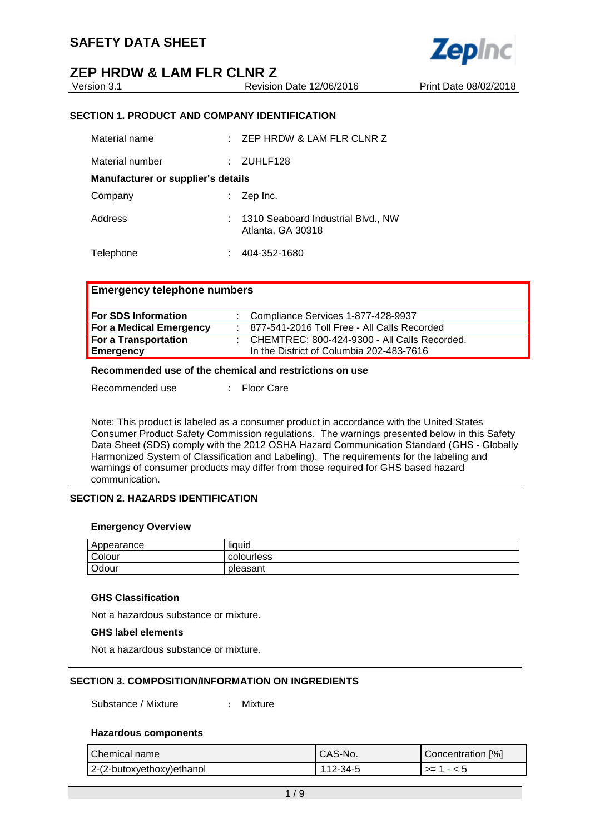## **ZEP HRDW & LAM FLR CLNR Z**<br>
Version 3.1

Revision Date 12/06/2016 Print Date 08/02/2018



### **SECTION 1. PRODUCT AND COMPANY IDENTIFICATION**

| Material name                             | × 1 | ZEP HRDW & LAM FLR CLNR Z                               |
|-------------------------------------------|-----|---------------------------------------------------------|
| Material number                           |     | ZUHLF128                                                |
| <b>Manufacturer or supplier's details</b> |     |                                                         |
| Company                                   |     | Zep Inc.                                                |
| Address                                   |     | 1310 Seaboard Industrial Blvd., NW<br>Atlanta, GA 30318 |
| Telephone                                 |     | 404-352-1680                                            |

## **Emergency telephone numbers**

| For SDS Information     | : Compliance Services 1-877-428-9937           |
|-------------------------|------------------------------------------------|
| For a Medical Emergency | 877-541-2016 Toll Free - All Calls Recorded    |
| For a Transportation    | : CHEMTREC: 800-424-9300 - All Calls Recorded. |
| <b>Emergency</b>        | In the District of Columbia 202-483-7616       |

### **Recommended use of the chemical and restrictions on use**

Recommended use : Floor Care

Note: This product is labeled as a consumer product in accordance with the United States Consumer Product Safety Commission regulations. The warnings presented below in this Safety Data Sheet (SDS) comply with the 2012 OSHA Hazard Communication Standard (GHS - Globally Harmonized System of Classification and Labeling). The requirements for the labeling and warnings of consumer products may differ from those required for GHS based hazard communication.

## **SECTION 2. HAZARDS IDENTIFICATION**

#### **Emergency Overview**

| Appearance | liquid     |
|------------|------------|
| Colour     | colourless |
| Odour      | pleasant   |

## **GHS Classification**

Not a hazardous substance or mixture.

#### **GHS label elements**

Not a hazardous substance or mixture.

## **SECTION 3. COMPOSITION/INFORMATION ON INGREDIENTS**

Substance / Mixture : Mixture

## **Hazardous components**

| Chemical name                 | CAS-No.  | Concentration [%] |
|-------------------------------|----------|-------------------|
| $ 2-(2-butoxyethoxy)$ ethanol | 112-34-5 | $ >=1-5$          |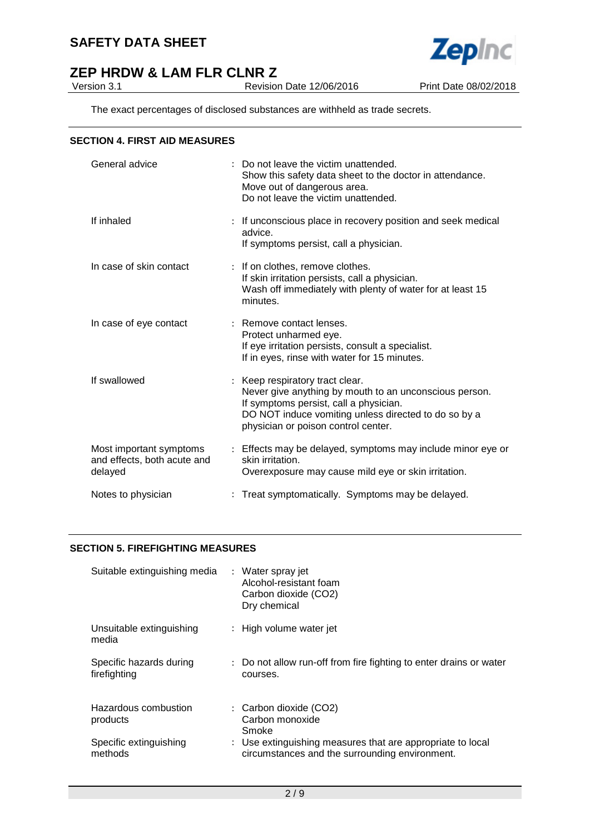

## **ZEP HRDW & LAM FLR CLNR Z**<br>Version 3.1

The exact percentages of disclosed substances are withheld as trade secrets.

### **SECTION 4. FIRST AID MEASURES**

| General advice                                                    | : Do not leave the victim unattended.<br>Show this safety data sheet to the doctor in attendance.<br>Move out of dangerous area.<br>Do not leave the victim unattended.                                                            |
|-------------------------------------------------------------------|------------------------------------------------------------------------------------------------------------------------------------------------------------------------------------------------------------------------------------|
| If inhaled                                                        | : If unconscious place in recovery position and seek medical<br>advice.<br>If symptoms persist, call a physician.                                                                                                                  |
| In case of skin contact                                           | : If on clothes, remove clothes.<br>If skin irritation persists, call a physician.<br>Wash off immediately with plenty of water for at least 15<br>minutes.                                                                        |
| In case of eye contact                                            | : Remove contact lenses.<br>Protect unharmed eye.<br>If eye irritation persists, consult a specialist.<br>If in eyes, rinse with water for 15 minutes.                                                                             |
| If swallowed                                                      | : Keep respiratory tract clear.<br>Never give anything by mouth to an unconscious person.<br>If symptoms persist, call a physician.<br>DO NOT induce vomiting unless directed to do so by a<br>physician or poison control center. |
| Most important symptoms<br>and effects, both acute and<br>delayed | : Effects may be delayed, symptoms may include minor eye or<br>skin irritation.<br>Overexposure may cause mild eye or skin irritation.                                                                                             |
| Notes to physician                                                | : Treat symptomatically. Symptoms may be delayed.                                                                                                                                                                                  |

## **SECTION 5. FIREFIGHTING MEASURES**

| Suitable extinguishing media            | : Water spray jet<br>Alcohol-resistant foam<br>Carbon dioxide (CO2)<br>Dry chemical                          |
|-----------------------------------------|--------------------------------------------------------------------------------------------------------------|
| Unsuitable extinguishing<br>media       | : High volume water jet                                                                                      |
| Specific hazards during<br>firefighting | : Do not allow run-off from fire fighting to enter drains or water<br>courses.                               |
| Hazardous combustion<br>products        | : Carbon dioxide (CO2)<br>Carbon monoxide<br>Smoke                                                           |
| Specific extinguishing<br>methods       | : Use extinguishing measures that are appropriate to local<br>circumstances and the surrounding environment. |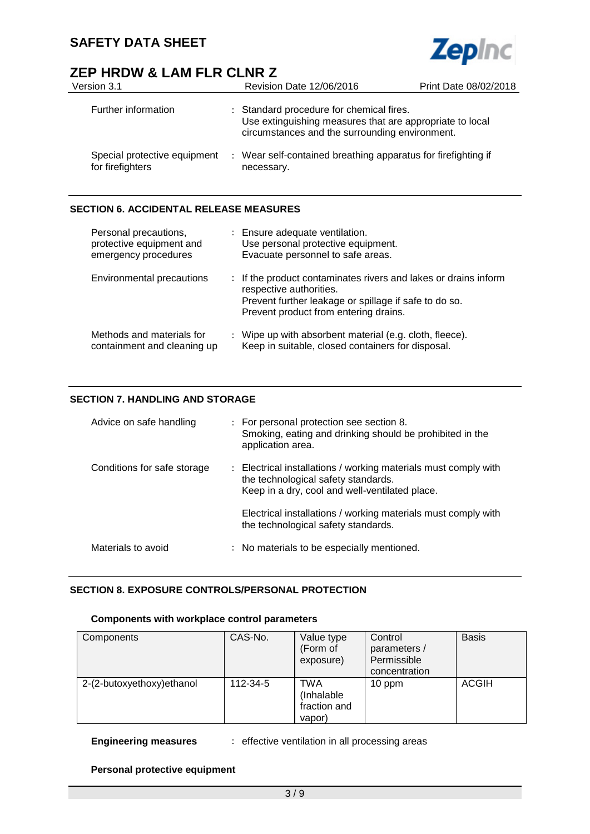## **ZEP HRDW & LAM FLR CLNR Z**

| Version 3.1                                      | Revision Date 12/06/2016                                                                                                                               | Print Date 08/02/2018 |
|--------------------------------------------------|--------------------------------------------------------------------------------------------------------------------------------------------------------|-----------------------|
| Further information                              | : Standard procedure for chemical fires.<br>Use extinguishing measures that are appropriate to local<br>circumstances and the surrounding environment. |                       |
| Special protective equipment<br>for firefighters | : Wear self-contained breathing apparatus for firefighting if<br>necessary.                                                                            |                       |

**Zepinc** 

## **SECTION 6. ACCIDENTAL RELEASE MEASURES**

| Personal precautions,<br>protective equipment and<br>emergency procedures | : Ensure adequate ventilation.<br>Use personal protective equipment.<br>Evacuate personnel to safe areas.                                                                                    |
|---------------------------------------------------------------------------|----------------------------------------------------------------------------------------------------------------------------------------------------------------------------------------------|
| Environmental precautions                                                 | : If the product contaminates rivers and lakes or drains inform<br>respective authorities.<br>Prevent further leakage or spillage if safe to do so.<br>Prevent product from entering drains. |
| Methods and materials for<br>containment and cleaning up                  | : Wipe up with absorbent material (e.g. cloth, fleece).<br>Keep in suitable, closed containers for disposal.                                                                                 |

## **SECTION 7. HANDLING AND STORAGE**

| Advice on safe handling     | : For personal protection see section 8.<br>Smoking, eating and drinking should be prohibited in the<br>application area.                                |
|-----------------------------|----------------------------------------------------------------------------------------------------------------------------------------------------------|
| Conditions for safe storage | : Electrical installations / working materials must comply with<br>the technological safety standards.<br>Keep in a dry, cool and well-ventilated place. |
|                             | Electrical installations / working materials must comply with<br>the technological safety standards.                                                     |
| Materials to avoid          | : No materials to be especially mentioned.                                                                                                               |

## **SECTION 8. EXPOSURE CONTROLS/PERSONAL PROTECTION**

### **Components with workplace control parameters**

| Components                 | CAS-No.  | Value type<br>(Form of<br>exposure)                | Control<br>parameters /<br>Permissible<br>concentration | <b>Basis</b> |
|----------------------------|----------|----------------------------------------------------|---------------------------------------------------------|--------------|
| 2-(2-butoxyethoxy) ethanol | 112-34-5 | <b>TWA</b><br>(Inhalable<br>fraction and<br>vapor) | $10$ ppm                                                | <b>ACGIH</b> |

**Engineering measures** : effective ventilation in all processing areas

## **Personal protective equipment**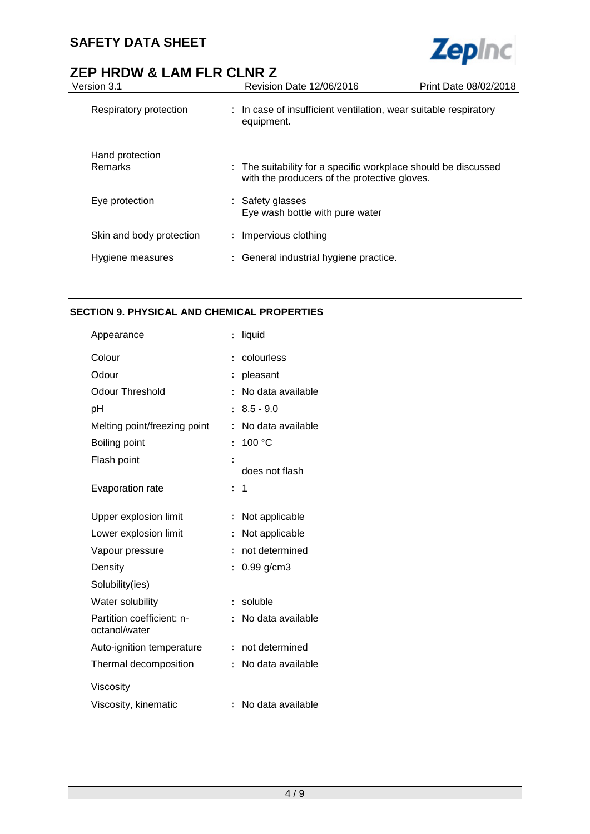

# **ZEP HRDW & LAM FLR CLNR Z**<br>Version 3.1<br>Revision

| Version 3.1                       | <b>Revision Date 12/06/2016</b>                                                                                | Print Date 08/02/2018 |
|-----------------------------------|----------------------------------------------------------------------------------------------------------------|-----------------------|
| Respiratory protection            | : In case of insufficient ventilation, wear suitable respiratory<br>equipment.                                 |                       |
| Hand protection<br><b>Remarks</b> | : The suitability for a specific workplace should be discussed<br>with the producers of the protective gloves. |                       |
| Eye protection                    | : Safety glasses<br>Eye wash bottle with pure water                                                            |                       |
| Skin and body protection          | : Impervious clothing                                                                                          |                       |
| Hygiene measures                  | General industrial hygiene practice.                                                                           |                       |
|                                   |                                                                                                                |                       |

## **SECTION 9. PHYSICAL AND CHEMICAL PROPERTIES**

| Appearance                                 | $\vdots$       | liquid            |
|--------------------------------------------|----------------|-------------------|
| Colour                                     | $\ddot{\cdot}$ | colourless        |
| Odour                                      |                | pleasant          |
| Odour Threshold                            |                | No data available |
| рH                                         | $\ddot{\cdot}$ | $8.5 - 9.0$       |
| Melting point/freezing point               | $\ddot{\cdot}$ | No data available |
| Boiling point                              | $\ddot{\cdot}$ | 100 °C            |
| Flash point                                |                |                   |
|                                            |                | does not flash    |
| <b>Evaporation rate</b>                    | $\ddot{\cdot}$ | 1                 |
| Upper explosion limit                      | $\ddot{\cdot}$ | Not applicable    |
| Lower explosion limit                      | $\ddot{\cdot}$ | Not applicable    |
| Vapour pressure                            | $\ddot{\cdot}$ | not determined    |
| Density                                    | $\ddot{\cdot}$ | $0.99$ g/cm3      |
| Solubility(ies)                            |                |                   |
| Water solubility                           | $\ddot{\cdot}$ | soluble           |
| Partition coefficient: n-<br>octanol/water | $\ddot{\cdot}$ | No data available |
| Auto-ignition temperature                  | $\vdots$       | not determined    |
| Thermal decomposition                      | $\ddot{\cdot}$ | No data available |
| Viscosity                                  |                |                   |
| Viscosity, kinematic                       | ÷.             | No data available |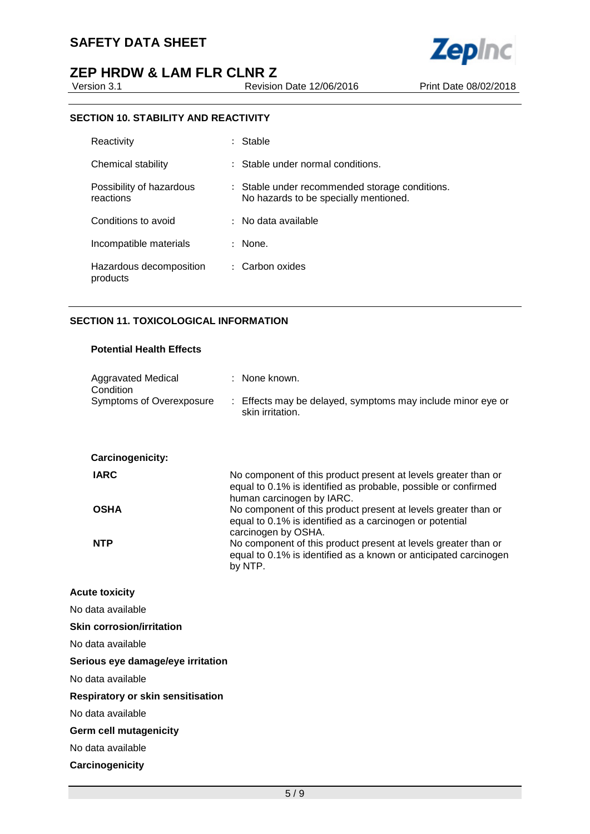## **ZEP HRDW & LAM FLR CLNR Z**<br>Version 3.1

Revision Date 12/06/2016 Print Date 08/02/2018

**Zepinc** 

## **SECTION 10. STABILITY AND REACTIVITY**

| Reactivity                            | Stable                                                                                  |
|---------------------------------------|-----------------------------------------------------------------------------------------|
| Chemical stability                    | : Stable under normal conditions.                                                       |
| Possibility of hazardous<br>reactions | : Stable under recommended storage conditions.<br>No hazards to be specially mentioned. |
| Conditions to avoid                   | No data available                                                                       |
| Incompatible materials                | None.                                                                                   |
| Hazardous decomposition<br>products   | Carbon oxides<br>$\mathbb{R}^{\mathbb{Z}}$                                              |

## **SECTION 11. TOXICOLOGICAL INFORMATION**

## **Potential Health Effects**

| <b>Aggravated Medical</b><br>Condition   | : None known.                                                                                                                                                        |
|------------------------------------------|----------------------------------------------------------------------------------------------------------------------------------------------------------------------|
| Symptoms of Overexposure                 | : Effects may be delayed, symptoms may include minor eye or<br>skin irritation.                                                                                      |
| Carcinogenicity:                         |                                                                                                                                                                      |
| <b>IARC</b>                              | No component of this product present at levels greater than or<br>equal to 0.1% is identified as probable, possible or confirmed<br>human carcinogen by IARC.        |
| <b>OSHA</b>                              | No component of this product present at levels greater than or<br>equal to 0.1% is identified as a carcinogen or potential                                           |
| <b>NTP</b>                               | carcinogen by OSHA.<br>No component of this product present at levels greater than or<br>equal to 0.1% is identified as a known or anticipated carcinogen<br>by NTP. |
| <b>Acute toxicity</b>                    |                                                                                                                                                                      |
| No data available                        |                                                                                                                                                                      |
| <b>Skin corrosion/irritation</b>         |                                                                                                                                                                      |
| No data available                        |                                                                                                                                                                      |
| Serious eye damage/eye irritation        |                                                                                                                                                                      |
| No data available                        |                                                                                                                                                                      |
| <b>Respiratory or skin sensitisation</b> |                                                                                                                                                                      |
| No data available                        |                                                                                                                                                                      |
| <b>Germ cell mutagenicity</b>            |                                                                                                                                                                      |
| No data available                        |                                                                                                                                                                      |
| Carcinogenicity                          |                                                                                                                                                                      |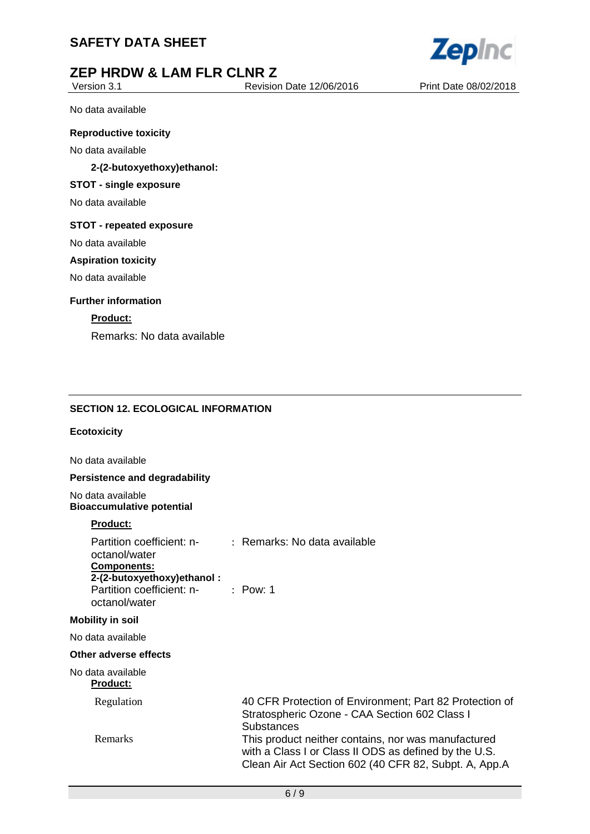



## **ZEP HRDW & LAM FLR CLNR Z**<br>Version 3.1

Revision Date 12/06/2016 Print Date 08/02/2018

No data available

### **Reproductive toxicity**

No data available

## **2-(2-butoxyethoxy)ethanol:**

## **STOT - single exposure**

No data available

#### **STOT - repeated exposure**

No data available

### **Aspiration toxicity**

No data available

### **Further information**

## **Product:**

Remarks: No data available

## **SECTION 12. ECOLOGICAL INFORMATION**

## **Ecotoxicity**

No data available

#### **Persistence and degradability**

No data available **Bioaccumulative potential**

### **Product:**

| Partition coefficient: n-<br>octanol/water<br><b>Components:</b><br>2-(2-butoxyethoxy) ethanol: | $\therefore$ Remarks: No data available                                                                                                                               |
|-------------------------------------------------------------------------------------------------|-----------------------------------------------------------------------------------------------------------------------------------------------------------------------|
| Partition coefficient: n- : Pow: 1<br>octanol/water                                             |                                                                                                                                                                       |
| <b>Mobility in soil</b>                                                                         |                                                                                                                                                                       |
| No data available                                                                               |                                                                                                                                                                       |
| Other adverse effects                                                                           |                                                                                                                                                                       |
| No data available<br><b>Product:</b>                                                            |                                                                                                                                                                       |
| Regulation                                                                                      | 40 CFR Protection of Environment; Part 82 Protection of<br>Stratospheric Ozone - CAA Section 602 Class I<br><b>Substances</b>                                         |
| Remarks                                                                                         | This product neither contains, nor was manufactured<br>with a Class I or Class II ODS as defined by the U.S.<br>Clean Air Act Section 602 (40 CFR 82, Subpt. A, App.A |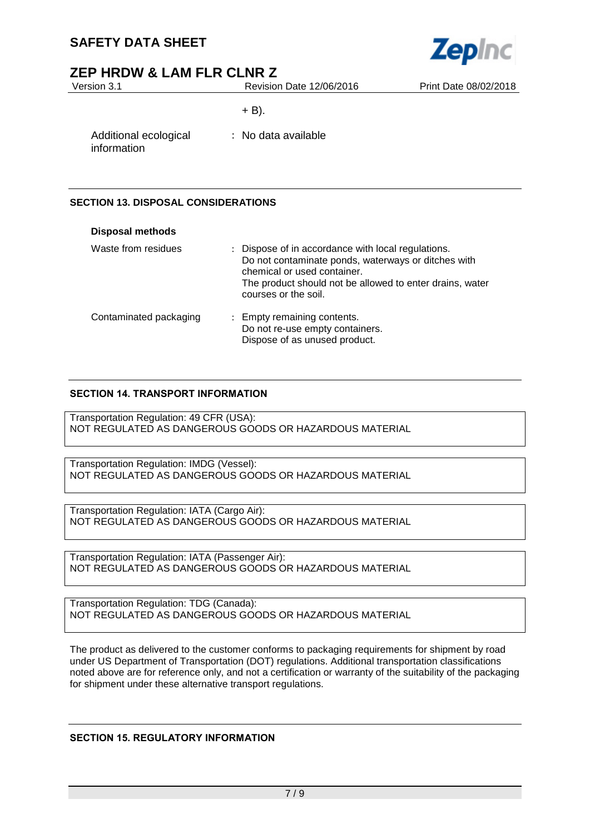

## **ZEP HRDW & LAM FLR CLNR Z**

| Version 3.1                          | Revision Date 12/06/2016 | Print Date 08/02/2018 |
|--------------------------------------|--------------------------|-----------------------|
|                                      | $+ B$ ).                 |                       |
| Additional ecological<br>information | : No data available      |                       |
|                                      |                          |                       |

## **SECTION 13. DISPOSAL CONSIDERATIONS**

| <b>Disposal methods</b> |                                                                                                                                                                                                                              |
|-------------------------|------------------------------------------------------------------------------------------------------------------------------------------------------------------------------------------------------------------------------|
| Waste from residues     | : Dispose of in accordance with local regulations.<br>Do not contaminate ponds, waterways or ditches with<br>chemical or used container.<br>The product should not be allowed to enter drains, water<br>courses or the soil. |
| Contaminated packaging  | : Empty remaining contents.<br>Do not re-use empty containers.<br>Dispose of as unused product.                                                                                                                              |

## **SECTION 14. TRANSPORT INFORMATION**

Transportation Regulation: 49 CFR (USA): NOT REGULATED AS DANGEROUS GOODS OR HAZARDOUS MATERIAL

Transportation Regulation: IMDG (Vessel): NOT REGULATED AS DANGEROUS GOODS OR HAZARDOUS MATERIAL

Transportation Regulation: IATA (Cargo Air): NOT REGULATED AS DANGEROUS GOODS OR HAZARDOUS MATERIAL

Transportation Regulation: IATA (Passenger Air): NOT REGULATED AS DANGEROUS GOODS OR HAZARDOUS MATERIAL

Transportation Regulation: TDG (Canada): NOT REGULATED AS DANGEROUS GOODS OR HAZARDOUS MATERIAL

The product as delivered to the customer conforms to packaging requirements for shipment by road under US Department of Transportation (DOT) regulations. Additional transportation classifications noted above are for reference only, and not a certification or warranty of the suitability of the packaging for shipment under these alternative transport regulations.

## **SECTION 15. REGULATORY INFORMATION**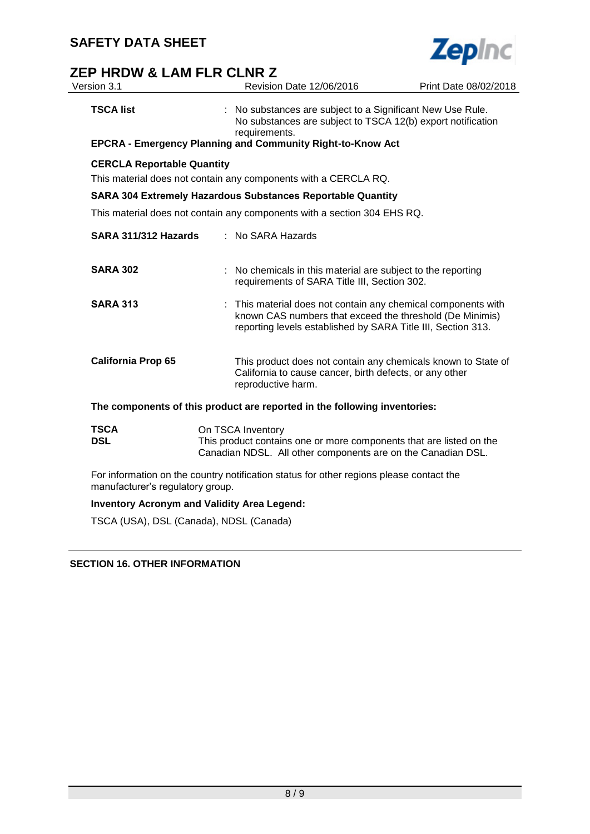

## **ZEP HRDW & LAM FLR CLNR Z**<br>Version 3.1 Revision

| Version 3.1                       | Revision Date 12/06/2016                                                                                                                                 | Print Date 08/02/2018                                                                                                                                                                     |
|-----------------------------------|----------------------------------------------------------------------------------------------------------------------------------------------------------|-------------------------------------------------------------------------------------------------------------------------------------------------------------------------------------------|
| <b>TSCA list</b>                  | requirements.<br><b>EPCRA - Emergency Planning and Community Right-to-Know Act</b>                                                                       | : No substances are subject to a Significant New Use Rule.<br>No substances are subject to TSCA 12(b) export notification                                                                 |
| <b>CERCLA Reportable Quantity</b> |                                                                                                                                                          |                                                                                                                                                                                           |
|                                   | This material does not contain any components with a CERCLA RQ.                                                                                          |                                                                                                                                                                                           |
|                                   | <b>SARA 304 Extremely Hazardous Substances Reportable Quantity</b>                                                                                       |                                                                                                                                                                                           |
|                                   | This material does not contain any components with a section 304 EHS RQ.                                                                                 |                                                                                                                                                                                           |
| SARA 311/312 Hazards              | : No SARA Hazards                                                                                                                                        |                                                                                                                                                                                           |
| <b>SARA 302</b>                   | requirements of SARA Title III, Section 302.                                                                                                             | : No chemicals in this material are subject to the reporting                                                                                                                              |
| <b>SARA 313</b>                   |                                                                                                                                                          | : This material does not contain any chemical components with<br>known CAS numbers that exceed the threshold (De Minimis)<br>reporting levels established by SARA Title III, Section 313. |
| <b>California Prop 65</b>         | reproductive harm.                                                                                                                                       | This product does not contain any chemicals known to State of<br>California to cause cancer, birth defects, or any other                                                                  |
|                                   | The components of this product are reported in the following inventories:                                                                                |                                                                                                                                                                                           |
| <b>TSCA</b><br><b>DSL</b>         | On TSCA Inventory<br>This product contains one or more components that are listed on the<br>Canadian NDSL. All other components are on the Canadian DSL. |                                                                                                                                                                                           |
| manufacturer's regulatory group.  | For information on the country notification status for other regions please contact the                                                                  |                                                                                                                                                                                           |

## **Inventory Acronym and Validity Area Legend:**

TSCA (USA), DSL (Canada), NDSL (Canada)

**SECTION 16. OTHER INFORMATION**